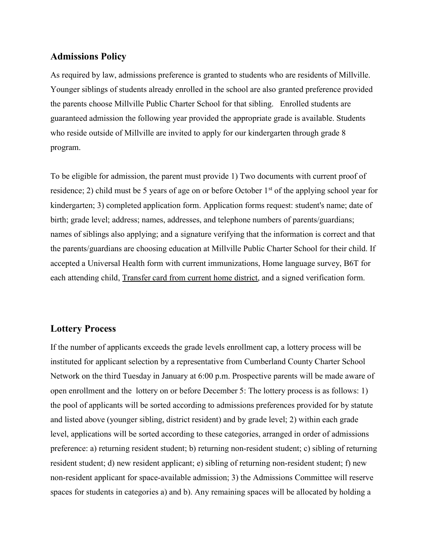## **Admissions Policy**

As required by law, admissions preference is granted to students who are residents of Millville. Younger siblings of students already enrolled in the school are also granted preference provided the parents choose Millville Public Charter School for that sibling. Enrolled students are guaranteed admission the following year provided the appropriate grade is available. Students who reside outside of Millville are invited to apply for our kindergarten through grade 8 program.

To be eligible for admission, the parent must provide 1) Two documents with current proof of residence; 2) child must be 5 years of age on or before October  $1<sup>st</sup>$  of the applying school year for kindergarten; 3) completed application form. Application forms request: student's name; date of birth; grade level; address; names, addresses, and telephone numbers of parents/guardians; names of siblings also applying; and a signature verifying that the information is correct and that the parents/guardians are choosing education at Millville Public Charter School for their child. If accepted a Universal Health form with current immunizations, Home language survey, B6T for each attending child, Transfer card from current home district, and a signed verification form.

## **Lottery Process**

If the number of applicants exceeds the grade levels enrollment cap, a lottery process will be instituted for applicant selection by a representative from Cumberland County Charter School Network on the third Tuesday in January at 6:00 p.m. Prospective parents will be made aware of open enrollment and the lottery on or before December 5: The lottery process is as follows: 1) the pool of applicants will be sorted according to admissions preferences provided for by statute and listed above (younger sibling, district resident) and by grade level; 2) within each grade level, applications will be sorted according to these categories, arranged in order of admissions preference: a) returning resident student; b) returning non-resident student; c) sibling of returning resident student; d) new resident applicant; e) sibling of returning non-resident student; f) new non-resident applicant for space-available admission; 3) the Admissions Committee will reserve spaces for students in categories a) and b). Any remaining spaces will be allocated by holding a